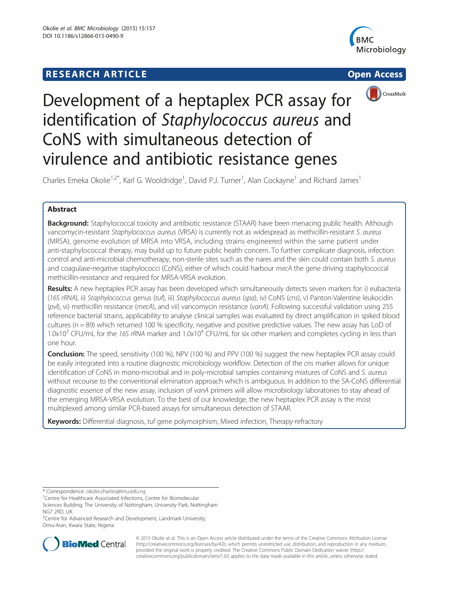# **RESEARCH ARTICLE Example 2008 12:00 Open Access**





# Development of a heptaplex PCR assay for identification of Staphylococcus aureus and CoNS with simultaneous detection of virulence and antibiotic resistance genes

Charles Emeka Okolie<sup>1,2\*</sup>, Karl G. Wooldridge<sup>1</sup>, David P.J. Turner<sup>1</sup>, Alan Cockayne<sup>1</sup> and Richard James<sup>1</sup>

## Abstract

**Background:** Staphylococcal toxicity and antibiotic resistance (STAAR) have been menacing public health. Although vancomycin-resistant Staphylococcus aureus (VRSA) is currently not as widespread as methicillin-resistant S. aureus (MRSA), genome evolution of MRSA into VRSA, including strains engineered within the same patient under anti-staphylococcal therapy, may build up to future public health concern. To further complicate diagnosis, infection control and anti-microbial chemotherapy, non-sterile sites such as the nares and the skin could contain both S. aureus and coagulase-negative staphylococci (CoNS), either of which could harbour mecA the gene driving staphylococcal methicillin-resistance and required for MRSA-VRSA evolution.

Results: A new heptaplex PCR assay has been developed which simultaneously detects seven markers for: i) eubacteria (16S rRNA), ii) Staphylococcus genus (tuf), iii) Staphylococcus aureus (spa), iv) CoNS (cns), v) Panton-Valentine leukocidin (pvl), vi) methicillin resistance (mecA), and vii) vancomycin resistance (vanA). Following successful validation using 255 reference bacterial strains, applicability to analyse clinical samples was evaluated by direct amplification in spiked blood cultures (n = 89) which returned 100 % specificity, negative and positive predictive values. The new assay has LoD of 1.0x10<sup>3</sup> CFU/mL for the 16S rRNA marker and  $1.0x10<sup>4</sup>$  CFU/mL for six other markers and completes cycling in less than one hour.

**Conclusion:** The speed, sensitivity (100 %), NPV (100 %) and PPV (100 %) suggest the new heptaplex PCR assay could be easily integrated into a routine diagnostic microbiology workflow. Detection of the cns marker allows for unique identification of CoNS in mono-microbial and in poly-microbial samples containing mixtures of CoNS and S. aureus without recourse to the conventional elimination approach which is ambiguous. In addition to the SA-CoNS differential diagnostic essence of the new assay, inclusion of vanA primers will allow microbiology laboratories to stay ahead of the emerging MRSA-VRSA evolution. To the best of our knowledge, the new heptaplex PCR assay is the most multiplexed among similar PCR-based assays for simultaneous detection of STAAR.

Keywords: Differential diagnosis, tuf gene polymorphism, Mixed infection, Therapy-refractory

<sup>&</sup>lt;sup>2</sup> Centre for Advanced Research and Development, Landmark University, Omu-Aran, Kwara State, Nigeria



© 2015 Okolie et al. This is an Open Access article distributed under the terms of the Creative Commons Attribution License [\(http://creativecommons.org/licenses/by/4.0\)](http://creativecommons.org/licenses/by/4.0), which permits unrestricted use, distribution, and reproduction in any medium, provided the original work is properly credited. The Creative Commons Public Domain Dedication waiver [\(http://](http://creativecommons.org/publicdomain/zero/1.0/) [creativecommons.org/publicdomain/zero/1.0/\)](http://creativecommons.org/publicdomain/zero/1.0/) applies to the data made available in this article, unless otherwise stated.

<sup>\*</sup> Correspondence: [okolie.charles@lmu.edu.ng](mailto:okolie.charles@lmu.edu.ng) <sup>1</sup>

<sup>&</sup>lt;sup>1</sup> Centre for Healthcare Associated Infections, Centre for Biomolecular Sciences Building, The University of Nottingham, University Park, Nottingham

NG7 2RD, UK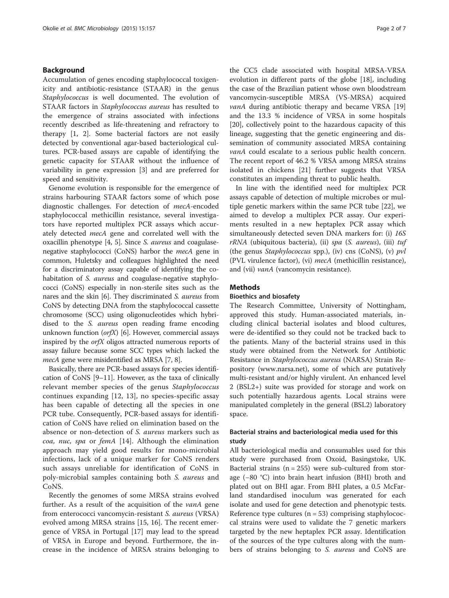#### Background

Accumulation of genes encoding staphylococcal toxigenicity and antibiotic-resistance (STAAR) in the genus Staphylococcus is well documented. The evolution of STAAR factors in Staphylococcus aureus has resulted to the emergence of strains associated with infections recently described as life-threatening and refractory to therapy [[1, 2\]](#page-5-0). Some bacterial factors are not easily detected by conventional agar-based bacteriological cultures. PCR-based assays are capable of identifying the genetic capacity for STAAR without the influence of variability in gene expression [[3\]](#page-5-0) and are preferred for speed and sensitivity.

Genome evolution is responsible for the emergence of strains harbouring STAAR factors some of which pose diagnostic challenges. For detection of mecA-encoded staphylococcal methicillin resistance, several investigators have reported multiplex PCR assays which accurately detected mecA gene and correlated well with the oxacillin phenotype [[4, 5](#page-5-0)]. Since S. aureus and coagulasenegative staphylococci (CoNS) harbor the mecA gene in common, Huletsky and colleagues highlighted the need for a discriminatory assay capable of identifying the cohabitation of *S. aureus* and coagulase-negative staphylococci (CoNS) especially in non-sterile sites such as the nares and the skin [\[6](#page-5-0)]. They discriminated S. aureus from CoNS by detecting DNA from the staphylococcal cassette chromosome (SCC) using oligonucleotides which hybridised to the *S. aureus* open reading frame encoding unknown function  $(\text{orfX})$  [\[6](#page-5-0)]. However, commercial assays inspired by the orfX oligos attracted numerous reports of assay failure because some SCC types which lacked the mecA gene were misidentified as MRSA [\[7, 8](#page-5-0)].

Basically, there are PCR-based assays for species identification of CoNS [[9](#page-5-0)–[11\]](#page-5-0). However, as the taxa of clinically relevant member species of the genus Staphylococcus continues expanding [\[12](#page-5-0), [13](#page-6-0)], no species-specific assay has been capable of detecting all the species in one PCR tube. Consequently, PCR-based assays for identification of CoNS have relied on elimination based on the absence or non-detection of S. aureus markers such as coa, nuc, spa or femA [[14\]](#page-6-0). Although the elimination approach may yield good results for mono-microbial infections, lack of a unique marker for CoNS renders such assays unreliable for identification of CoNS in poly-microbial samples containing both S. aureus and CoNS.

Recently the genomes of some MRSA strains evolved further. As a result of the acquisition of the *vanA* gene from enterococci vancomycin-resistant S. aureus (VRSA) evolved among MRSA strains [\[15, 16](#page-6-0)]. The recent emergence of VRSA in Portugal [\[17](#page-6-0)] may lead to the spread of VRSA in Europe and beyond. Furthermore, the increase in the incidence of MRSA strains belonging to

the CC5 clade associated with hospital MRSA-VRSA evolution in different parts of the globe [\[18\]](#page-6-0), including the case of the Brazilian patient whose own bloodstream vancomycin-susceptible MRSA (VS-MRSA) acquired vanA during antibiotic therapy and became VRSA [[19](#page-6-0)] and the 13.3 % incidence of VRSA in some hospitals [[20\]](#page-6-0), collectively point to the hazardous capacity of this lineage, suggesting that the genetic engineering and dissemination of community associated MRSA containing vanA could escalate to a serious public health concern. The recent report of 46.2 % VRSA among MRSA strains isolated in chickens [[21](#page-6-0)] further suggests that VRSA constitutes an impending threat to public health.

In line with the identified need for multiplex PCR assays capable of detection of multiple microbes or multiple genetic markers within the same PCR tube [\[22\]](#page-6-0), we aimed to develop a multiplex PCR assay. Our experiments resulted in a new heptaplex PCR assay which simultaneously detected seven DNA markers for: (i) 16S  $rRNA$  (ubiquitous bacteria), (ii) spa (S. aureus), (iii) tuf (the genus *Staphylococcus* spp.), (iv) cns (CoNS), (v)  $pvl$ (PVL virulence factor), (vi) mecA (methicillin resistance), and (vii) *vanA* (vancomycin resistance).

#### **Methods**

#### Bioethics and biosafety

The Research Committee, University of Nottingham, approved this study. Human-associated materials, including clinical bacterial isolates and blood cultures, were de-identified so they could not be tracked back to the patients. Many of the bacterial strains used in this study were obtained from the Network for Antibiotic Resistance in Staphylococcus aureus (NARSA) Strain Repository [\(www.narsa.net\)](http://www.narsa.net), some of which are putatively multi-resistant and/or highly virulent. An enhanced level 2 (BSL2+) suite was provided for storage and work on such potentially hazardous agents. Local strains were manipulated completely in the general (BSL2) laboratory space.

### Bacterial strains and bacteriological media used for this study

All bacteriological media and consumables used for this study were purchased from Oxoid, Basingstoke, UK. Bacterial strains  $(n = 255)$  were sub-cultured from storage (−80 °C) into brain heart infusion (BHI) broth and plated out on BHI agar. From BHI plates, a 0.5 McFarland standardised inoculum was generated for each isolate and used for gene detection and phenotypic tests. Reference type cultures  $(n = 53)$  comprising staphylococcal strains were used to validate the 7 genetic markers targeted by the new heptaplex PCR assay. Identification of the sources of the type cultures along with the numbers of strains belonging to *S. aureus* and CoNS are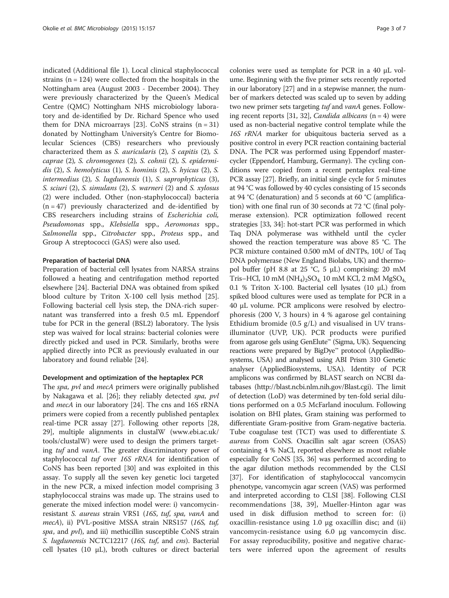indicated (Additional file [1](#page-5-0)). Local clinical staphylococcal strains ( $n = 124$ ) were collected from the hospitals in the Nottingham area (August 2003 - December 2004). They were previously characterized by the Queen's Medical Centre (QMC) Nottingham NHS microbiology laboratory and de-identified by Dr. Richard Spence who used them for DNA microarrays [[23\]](#page-6-0). CoNS strains  $(n = 31)$ donated by Nottingham University's Centre for Biomolecular Sciences (CBS) researchers who previously characterized them as S. auricularis (2), S capitis (2), S. caprae (2), S. chromogenes (2), S. cohnii (2), S. epidermidis (2), S. hemolyticus (1), S. hominis (2), S. hyicus (2), S. intermedius (2), S. lugdunensis (1), S. saprophyticus (3), S. sciuri (2), S. simulans (2), S. warneri (2) and S. xylosus (2) were included. Other (non-staphylococcal) bacteria  $(n = 47)$  previously characterized and de-identified by CBS researchers including strains of Escherichia coli, Pseudomonas spp., Klebsiella spp., Aeromonas spp., Salmonella spp., Citrobacter spp., Proteus spp., and Group A streptococci (GAS) were also used.

#### Preparation of bacterial DNA

Preparation of bacterial cell lysates from NARSA strains followed a heating and centrifugation method reported elsewhere [[24\]](#page-6-0). Bacterial DNA was obtained from spiked blood culture by Triton X-100 cell lysis method [\[25](#page-6-0)]. Following bacterial cell lysis step, the DNA-rich supernatant was transferred into a fresh 0.5 mL Eppendorf tube for PCR in the general (BSL2) laboratory. The lysis step was waived for local strains: bacterial colonies were directly picked and used in PCR. Similarly, broths were applied directly into PCR as previously evaluated in our laboratory and found reliable [[24\]](#page-6-0).

#### Development and optimization of the heptaplex PCR

The *spa*, *pvl* and *mecA* primers were originally published by Nakagawa et al. [\[26](#page-6-0)]; they reliably detected spa, pvl and mecA in our laboratory [\[24](#page-6-0)]. The cns and 16S rRNA primers were copied from a recently published pentaplex real-time PCR assay [\[27](#page-6-0)]. Following other reports [[28](#page-6-0), [29\]](#page-6-0), multiple alignments in clustalW ([www.ebi.ac.uk/](http://www.ebi.ac.uk/tools/clustalW) [tools/clustalW](http://www.ebi.ac.uk/tools/clustalW)) were used to design the primers targeting tuf and vanA. The greater discriminatory power of staphylococcal tuf over 16S rRNA for identification of CoNS has been reported [[30](#page-6-0)] and was exploited in this assay. To supply all the seven key genetic loci targeted in the new PCR, a mixed infection model comprising 3 staphylococcal strains was made up. The strains used to generate the mixed infection model were: i) vancomycinresistant S. aureus strain VRS1 (16S, tuf, spa, vanA and mecA), ii) PVL-positive MSSA strain NRS157 (16S, tuf, spa, and pvl), and iii) methicillin susceptible CoNS strain S. lugdunensis NCTC12217 (16S, tuf, and cns). Bacterial cell lysates (10  $\mu$ L), broth cultures or direct bacterial

colonies were used as template for PCR in a 40 μL volume. Beginning with the five primer sets recently reported in our laboratory [[27](#page-6-0)] and in a stepwise manner, the number of markers detected was scaled up to seven by adding two new primer sets targeting tuf and vanA genes. Follow-ing recent reports [\[31, 32\]](#page-6-0), *Candida albicans*  $(n = 4)$  were used as non-bacterial negative control template while the 16S rRNA marker for ubiquitous bacteria served as a positive control in every PCR reaction containing bacterial DNA. The PCR was performed using Eppendorf mastercycler (Eppendorf, Hamburg, Germany). The cycling conditions were copied from a recent pentaplex real-time PCR assay [[27](#page-6-0)]. Briefly, an initial single cycle for 5 minutes at 94 °C was followed by 40 cycles consisting of 15 seconds at 94 °C (denaturation) and 5 seconds at 60 °C (amplification) with one final run of 30 seconds at 72 °C (final polymerase extension). PCR optimization followed recent strategies [\[33, 34\]](#page-6-0): hot-start PCR was performed in which Taq DNA polymerase was withheld until the cycler showed the reaction temperature was above 85 °C. The PCR mixture contained 0.500 mM of dNTPs, 10U of Taq DNA polymerase (New England Biolabs, UK) and thermopol buffer (pH 8.8 at 25 °C, 5  $\mu$ L) comprising: 20 mM Tris–HCl, 10 mM (NH<sub>4</sub>)<sub>2</sub>SO<sub>4</sub>, 10 mM KCl, 2 mM MgSO<sub>4</sub> 0.1 % Triton X-100. Bacterial cell lysates (10 μL) from spiked blood cultures were used as template for PCR in a 40 μL volume. PCR amplicons were resolved by electrophoresis (200 V, 3 hours) in 4 % agarose gel containing Ethidium bromide  $(0.5 \text{ g/L})$  and visualised in UV transilluminator (UVP, UK). PCR products were purified from agarose gels using GenElute™ (Sigma, UK). Sequencing reactions were prepared by BigDye™ protocol (AppliedBiosystems, USA) and analysed using ABI Prism 310 Genetic analyser (AppliedBiosystems, USA). Identity of PCR amplicons was confirmed by BLAST search on NCBI databases ([http://blast.ncbi.nlm.nih.gov/Blast.cgi\)](http://blast.ncbi.nlm.nih.gov/Blast.cgi). The limit of detection (LoD) was determined by ten-fold serial dilutions performed on a 0.5 McFarland inoculum. Following isolation on BHI plates, Gram staining was performed to differentiate Gram-positive from Gram-negative bacteria. Tube coagulase test (TCT) was used to differentiate S. aureus from CoNS. Oxacillin salt agar screen (OSAS) containing 4 % NaCl, reported elsewhere as most reliable especially for CoNS [\[35, 36\]](#page-6-0) was performed according to the agar dilution methods recommended by the CLSI [[37](#page-6-0)]. For identification of staphylococcal vancomycin phenotype, vancomycin agar screen (VAS) was performed and interpreted according to CLSI [[38](#page-6-0)]. Following CLSI recommendations [[38, 39\]](#page-6-0), Mueller-Hinton agar was used in disk diffusion method to screen for: (i) oxacillin-resistance using 1.0 μg oxacillin disc; and (ii) vancomycin-resistance using 6.0 μg vancomycin disc. For assay reproducibility, positive and negative characters were inferred upon the agreement of results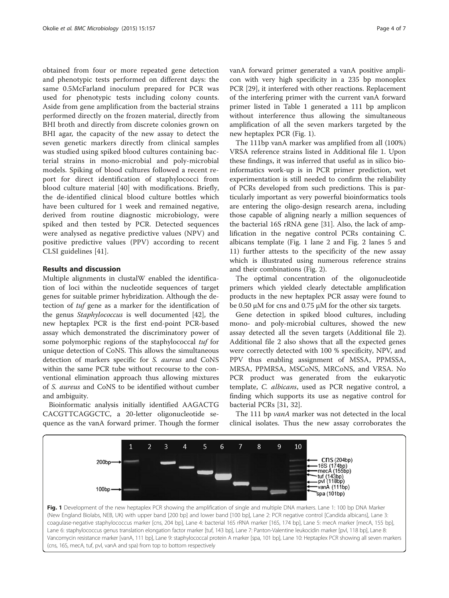obtained from four or more repeated gene detection and phenotypic tests performed on different days: the same 0.5McFarland inoculum prepared for PCR was used for phenotypic tests including colony counts. Aside from gene amplification from the bacterial strains performed directly on the frozen material, directly from BHI broth and directly from discrete colonies grown on BHI agar, the capacity of the new assay to detect the seven genetic markers directly from clinical samples was studied using spiked blood cultures containing bacterial strains in mono-microbial and poly-microbial models. Spiking of blood cultures followed a recent report for direct identification of staphylococci from blood culture material [\[40](#page-6-0)] with modifications. Briefly, the de-identified clinical blood culture bottles which have been cultured for 1 week and remained negative, derived from routine diagnostic microbiology, were spiked and then tested by PCR. Detected sequences were analysed as negative predictive values (NPV) and positive predictive values (PPV) according to recent CLSI guidelines [[41\]](#page-6-0).

#### Results and discussion

Multiple alignments in clustalW enabled the identification of loci within the nucleotide sequences of target genes for suitable primer hybridization. Although the detection of tuf gene as a marker for the identification of the genus Staphylococcus is well documented [[42\]](#page-6-0), the new heptaplex PCR is the first end-point PCR-based assay which demonstrated the discriminatory power of some polymorphic regions of the staphylococcal tuf for unique detection of CoNS. This allows the simultaneous detection of markers specific for S. aureus and CoNS within the same PCR tube without recourse to the conventional elimination approach thus allowing mixtures of S. aureus and CoNS to be identified without cumber and ambiguity.

Bioinformatic analysis initially identified AAGACTG CACGTTCAGGCTC, a 20-letter oligonucleotide sequence as the vanA forward primer. Though the former vanA forward primer generated a vanA positive amplicon with very high specificity in a 235 bp monoplex PCR [29], it interfered with other reactions. Replacement of the interfering primer with the current vanA forward primer listed in Table [1](#page-4-0) generated a 111 bp amplicon without interference thus allowing the simultaneous amplification of all the seven markers targeted by the new heptaplex PCR (Fig. 1).

The 111bp vanA marker was amplified from all (100%) VRSA reference strains listed in Additional file [1.](#page-5-0) Upon these findings, it was inferred that useful as in silico bioinformatics work-up is in PCR primer prediction, wet experimentation is still needed to confirm the reliability of PCRs developed from such predictions. This is particularly important as very powerful bioinformatics tools are entering the oligo-design research arena, including those capable of aligning nearly a million sequences of the bacterial 16S rRNA gene [[31\]](#page-6-0). Also, the lack of amplification in the negative control PCRs containing C. albicans template (Fig. 1 lane 2 and Fig. [2](#page-4-0) lanes 5 and 11) further attests to the specificity of the new assay which is illustrated using numerous reference strains and their combinations (Fig. [2](#page-4-0)).

The optimal concentration of the oligonucleotide primers which yielded clearly detectable amplification products in the new heptaplex PCR assay were found to be 0.50 μM for cns and 0.75 μM for the other six targets.

Gene detection in spiked blood cultures, including mono- and poly-microbial cultures, showed the new assay detected all the seven targets (Additional file [2](#page-5-0)). Additional file [2](#page-5-0) also shows that all the expected genes were correctly detected with 100 % specificity, NPV, and PPV thus enabling assignment of MSSA, PPMSSA, MRSA, PPMRSA, MSCoNS, MRCoNS, and VRSA. No PCR product was generated from the eukaryotic template, C. albicans, used as PCR negative control, a finding which supports its use as negative control for bacterial PCRs [[31](#page-6-0), [32](#page-6-0)].

The 111 bp *vanA* marker was not detected in the local clinical isolates. Thus the new assay corroborates the

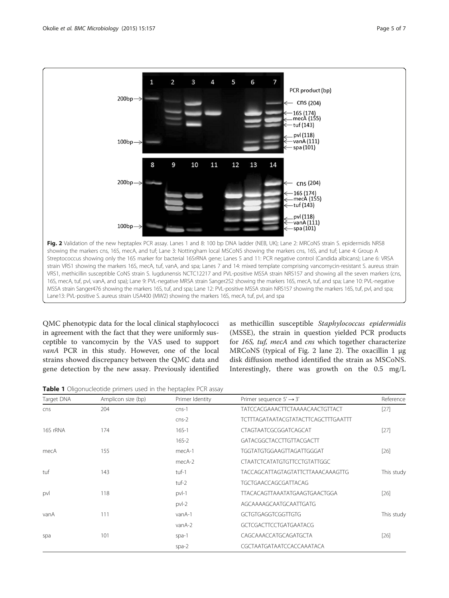<span id="page-4-0"></span>

QMC phenotypic data for the local clinical staphylococci in agreement with the fact that they were uniformly susceptible to vancomycin by the VAS used to support vanA PCR in this study. However, one of the local strains showed discrepancy between the QMC data and gene detection by the new assay. Previously identified

as methicillin susceptible Staphylococcus epidermidis (MSSE), the strain in question yielded PCR products for 16S, tuf, mecA and cns which together characterize MRCoNS (typical of Fig. 2 lane 2). The oxacillin 1 μg disk diffusion method identified the strain as MSCoNS. Interestingly, there was growth on the 0.5 mg/L

Table 1 Oligonucleotide primers used in the heptaplex PCR assay

| Target DNA | Amplicon size (bp) | Primer Identity | Primer sequence $5' \rightarrow 3'$    | Reference  |
|------------|--------------------|-----------------|----------------------------------------|------------|
| cns        | 204                | $cns-1$         | <b>TATCCACGAAACTTCTAAAACAACTGTTACT</b> | $[27]$     |
|            |                    | $cns-2$         | TCTTTAGATAATACGTATACTTCAGCTTTGAATTT    |            |
| 16S rRNA   | 174                | $16S-1$         | CTAGTAATCGCGGATCAGCAT                  | $[27]$     |
|            |                    | $16S - 2$       | GATACGGCTACCTTGTTACGACTT               |            |
| mecA       | 155                | mecA-1          | TGGTATGTGGAAGTTAGATTGGGAT              | $[26]$     |
|            |                    | mecA-2          | <b>CTAATCTCATATGTGTTCCTGTATTGGC</b>    |            |
| tuf        | 143                | tuf-1           | TACCAGCATTAGTAGTATTCTTAAACAAAGTTG      | This study |
|            |                    | tuf-2           | TGCTGAACCAGCGATTACAG                   |            |
| pvl        | 118                | $pvl-1$         | TTACACAGTTAAATATGAAGTGAACTGGA          | $[26]$     |
|            |                    | $pvI-2$         | AGCAAAAGCAATGCAATTGATG                 |            |
| vanA       | 111                | vanA-1          | GCTGTGAGGTCGGTTGTG                     | This study |
|            |                    | vanA-2          | <b>GCTCGACTTCCTGATGAATACG</b>          |            |
| spa        | 101                | $spa-1$         | CAGCAAACCATGCAGATGCTA                  | $[26]$     |
|            |                    | $spa-2$         | CGCTAATGATAATCCACCAAATACA              |            |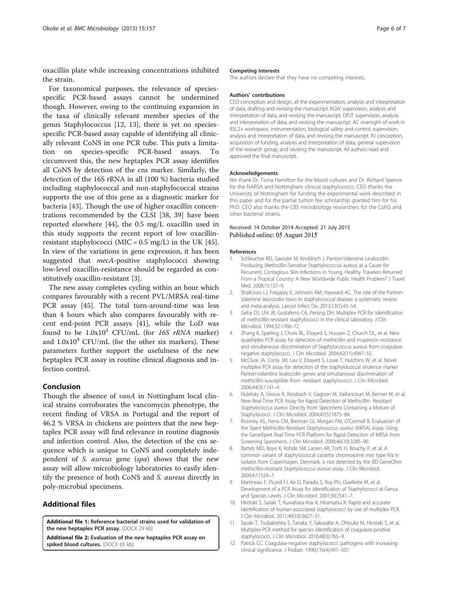<span id="page-5-0"></span>oxacillin plate while increasing concentrations inhibited the strain.

For taxonomical purposes, the relevance of speciesspecific PCR-based assays cannot be undermined though. However, owing to the continuing expansion in the taxa of clinically relevant member species of the genus Staphylococcus [12, 13], there is yet no speciesspecific PCR-based assay capable of identifying all clinically relevant CoNS in one PCR tube. This puts a limitation on species-specific PCR-based assays. To circumvent this, the new heptaplex PCR assay identifies all CoNS by detection of the cns marker. Similarly, the detection of the 16S rRNA in all (100 %) bacteria studied including staphylococcal and non-staphylococcal strains supports the use of this gene as a diagnostic marker for bacteria [43]. Though the use of higher oxacillin concentrations recommended by the CLSI [[38](#page-6-0), [39\]](#page-6-0) have been reported elsewhere [[44\]](#page-6-0), the 0.5 mg/L oxacillin used in this study supports the recent report of low oxacillinresistant staphylococci (MIC =  $0.5 \text{ mg/L}$ ) in the UK [\[45](#page-6-0)]. In view of the variations in gene expression, it has been suggested that *mecA-positive* staphylococci showing low-level oxacillin-resistance should be regarded as constitutively oxacillin-resistant [3].

The new assay completes cycling within an hour which compares favourably with a recent PVL/MRSA real-time PCR assay [\[45](#page-6-0)]. The total turn-around-time was less than 4 hours which also compares favourably with recent end-point PCR assays [\[41\]](#page-6-0), while the LoD was found to be  $1.0x10^3$  CFU/mL (for 16S rRNA marker) and  $1.0x10<sup>4</sup>$  CFU/mL (for the other six markers). These parameters further support the usefulness of the new heptaplex PCR assay in routine clinical diagnosis and infection control.

#### Conclusion

Though the absence of *vanA* in Nottingham local clinical strains corroborates the vancomycin phenotype, the recent finding of VRSA in Portugal and the report of 46.2 % VRSA in chickens are pointers that the new heptaplex PCR assay will find relevance in routine diagnosis and infection control. Also, the detection of the cns sequence which is unique to CoNS and completely independent of *S. aureus* gene (*spa*) shows that the new assay will allow microbiology laboratories to easily identify the presence of both CoNS and S. aureus directly in poly-microbial specimens.

### Additional files

[Additional file 1:](http://www.biomedcentral.com/content/supplementary/s12866-015-0490-9-s1.docx) Reference bacterial strains used for validation of the new heptaplex PCR assay. (DOCX 29 kb)

[Additional file 2:](http://www.biomedcentral.com/content/supplementary/s12866-015-0490-9-s2.docx) Evaluation of the new heptaplex PCR assay on spiked blood cultures. (DOCX 65 kb)

#### Competing interests

The authors declare that they have no competing interests.

#### Authors' contributions

CEO conception and design, all the experimentation, analysis and interpretation of data, drafting and revising the manuscript. KGW supervision, analysis and interpretation of data, and revising the manuscript. DPJT supervision, analysis and interpretation of data, and revising the manuscript. AC oversight of work in BSL2+ workspace, instrumentation, biological safety and control, supervision, analysis and interpretation of data, and revising the manuscript. RJ conception, acquisition of funding, analysis and interpretation of data, general supervision of the research group, and revising the manuscript. All authors read and approved the final manuscript.

#### Acknowledgements

We thank Dr. Fiona Hamilton for the blood cultures and Dr. Richard Spence for the NARSA and Nottingham clinical staphylococci. CEO thanks the University of Nottingham for funding the experimental work described in this paper and for the partial tuition fee scholarship granted him for his PhD. CEO also thanks the CBS microbiology researchers for the CoNS and other bacterial strains.

#### Received: 14 October 2014 Accepted: 21 July 2015 Published online: 05 August 2015

#### References

- 1. Schleucher RD, Gaessler M, Knobloch J. Panton-Valentine Leukocidin-Producing Methicillin-Sensitive Staphylococcus aureus as a Cause for Recurrent, Contagious Skin Infections in Young, Healthy Travelers Returned From a Tropical Country: A New Worldwide Public Health Problem? J Travel Med. 2008;15:137–9.
- 2. Shallcross LJ, Fragaszy E, Johnson AM, Hayward AC. The role of the Panton-Valentine leucocidin toxin in staphylococcal disease: a systematic review and meta-analysis. Lancet Infect Dis. 2013;13(1):43–54.
- 3. Geha DJ, Uhl JR, Gustaferro CA, Persing DH. Multiplex PCR for identification of methicillin-resistant staphylococci in the clinical laboratory. J Clin Microbiol. 1994;32:1768–72.
- 4. Zhang K, Sparling J, Chow BL, Elsayed S, Hussain Z, Church DL, et al. New quadriplex PCR assay for detection of methicillin and mupirocin resistance and simultaneous discrimination of Staphylococcus aureus from coagulasenegative staphylococci. J Clin Microbiol. 2004;42(11):4947–55.
- 5. McClure JA, Conly JM, Lau V, Elsayed S, Louie T, Hutchins W, et al. Novel multiplex PCR assay for detection of the staphylococcal virulence marker Panton-Valentine leukocidin genes and simultaneous discrimination of methicillin-susceptible from -resistant staphylococci. J Clin Microbiol. 2006;44(3):1141–4.
- 6. Huletsky A, Giroux R, Rossbach V, Gagnon M, Vaillancourt M, Bernier M, et al. New Real-Time PCR Assay for Rapid Detection of Methicillin- Resistant Staphylococcus aureus Directly from Specimens Containing a Mixture of Staphylococci. J Clin Microbiol. 2004;42(5):1875–84.
- 7. Rossney AS, Herra CM, Brennan GI, Morgan PM, O'Connell B. Evaluation of the Xpert Methicillin-Resistant Staphylococcus aureus (MRSA) Assay Using the GeneXpert Real-Time PCR Platform for Rapid Detection of MRSA from Screening Specimens. J Clin Microbiol. 2008;46(10):3285–90.
- 8. Bartels MD, Boye K, Rohde SM, Larsen AR, Torfs H, Bouchy P, et al. A common variant of staphylococcal cassette chromosome mec type IVa in isolates from Copenhagen, Denmark, is not detected by the BD GeneOhm methicillin-resistant Staphylococcus aureus assay. J Clin Microbiol. 2009;47:1524–7.
- 9. Martineau F, Picard FJ, Ke D, Paradis S, Roy PH, Ouellette M, et al. Development of a PCR Assay for Identification of Staphylococci at Genus and Species Levels. J Clin Microbiol. 2001;39:2541–7.
- 10. Hirotaki S, Sasaki T, Kuwahara-Arai K, Hiramatsu K. Rapid and accurate identification of human-associated staphylococci by use of multiplex PCR. J Clin Microbiol. 2011;49(10):3627–31.
- 11. Sasaki T, Tsubakishita S, Tanaka Y, Sakusabe A, Ohtsuka M, Hirotaki S, et al. Multiplex-PCR method for species identification of coagulase-positive staphylococci. J Clin Microbiol. 2010;48(3):765–9.
- 12. Patrick CC. Coagulase-negative staphylococci: pathogens with increasing clinical significance. J Pediatr. 1990;116(4):497–507.